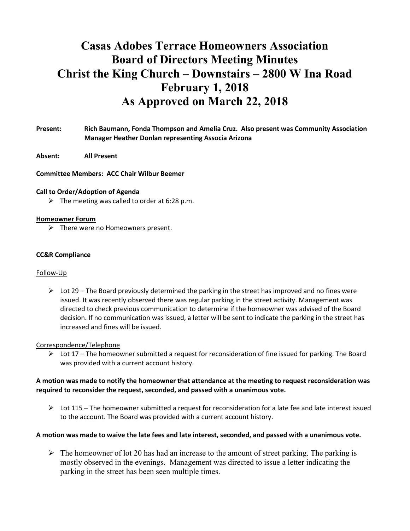# Casas Adobes Terrace Homeowners Association Board of Directors Meeting Minutes Christ the King Church – Downstairs – 2800 W Ina Road February 1, 2018 As Approved on March 22, 2018

## Present: Rich Baumann, Fonda Thompson and Amelia Cruz. Also present was Community Association Manager Heather Donlan representing Associa Arizona

Absent: All Present

Committee Members: ACC Chair Wilbur Beemer

#### Call to Order/Adoption of Agenda

 $\triangleright$  The meeting was called to order at 6:28 p.m.

#### Homeowner Forum

 $\triangleright$  There were no Homeowners present.

#### CC&R Compliance

#### Follow-Up

 $\triangleright$  Lot 29 – The Board previously determined the parking in the street has improved and no fines were issued. It was recently observed there was regular parking in the street activity. Management was directed to check previous communication to determine if the homeowner was advised of the Board decision. If no communication was issued, a letter will be sent to indicate the parking in the street has increased and fines will be issued.

#### Correspondence/Telephone

 $\triangleright$  Lot 17 – The homeowner submitted a request for reconsideration of fine issued for parking. The Board was provided with a current account history.

## A motion was made to notify the homeowner that attendance at the meeting to request reconsideration was required to reconsider the request, seconded, and passed with a unanimous vote.

 $\triangleright$  Lot 115 – The homeowner submitted a request for reconsideration for a late fee and late interest issued to the account. The Board was provided with a current account history.

## A motion was made to waive the late fees and late interest, seconded, and passed with a unanimous vote.

 $\triangleright$  The homeowner of lot 20 has had an increase to the amount of street parking. The parking is mostly observed in the evenings. Management was directed to issue a letter indicating the parking in the street has been seen multiple times.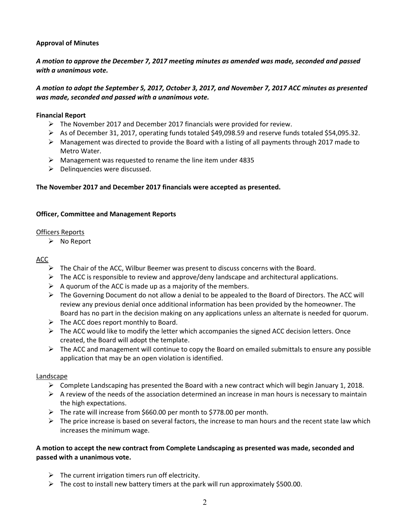## Approval of Minutes

# A motion to approve the December 7, 2017 meeting minutes as amended was made, seconded and passed with a unanimous vote.

## A motion to adopt the September 5, 2017, October 3, 2017, and November 7, 2017 ACC minutes as presented was made, seconded and passed with a unanimous vote.

## Financial Report

- $\triangleright$  The November 2017 and December 2017 financials were provided for review.
- $\triangleright$  As of December 31, 2017, operating funds totaled \$49,098.59 and reserve funds totaled \$54,095.32.
- $\triangleright$  Management was directed to provide the Board with a listing of all payments through 2017 made to Metro Water.
- $\triangleright$  Management was requested to rename the line item under 4835
- $\triangleright$  Delinquencies were discussed.

## The November 2017 and December 2017 financials were accepted as presented.

## Officer, Committee and Management Reports

## Officers Reports

 $\triangleright$  No Report

## ACC

- $\triangleright$  The Chair of the ACC, Wilbur Beemer was present to discuss concerns with the Board.
- $\triangleright$  The ACC is responsible to review and approve/deny landscape and architectural applications.
- $\triangleright$  A quorum of the ACC is made up as a majority of the members.
- $\triangleright$  The Governing Document do not allow a denial to be appealed to the Board of Directors. The ACC will review any previous denial once additional information has been provided by the homeowner. The Board has no part in the decision making on any applications unless an alternate is needed for quorum.
- $\triangleright$  The ACC does report monthly to Board.
- $\triangleright$  The ACC would like to modify the letter which accompanies the signed ACC decision letters. Once created, the Board will adopt the template.
- $\triangleright$  The ACC and management will continue to copy the Board on emailed submittals to ensure any possible application that may be an open violation is identified.

## Landscape

- $\triangleright$  Complete Landscaping has presented the Board with a new contract which will begin January 1, 2018.
- $\triangleright$  A review of the needs of the association determined an increase in man hours is necessary to maintain the high expectations.
- $\triangleright$  The rate will increase from \$660.00 per month to \$778.00 per month.
- $\triangleright$  The price increase is based on several factors, the increase to man hours and the recent state law which increases the minimum wage.

## A motion to accept the new contract from Complete Landscaping as presented was made, seconded and passed with a unanimous vote.

- $\triangleright$  The current irrigation timers run off electricity.
- $\triangleright$  The cost to install new battery timers at the park will run approximately \$500.00.